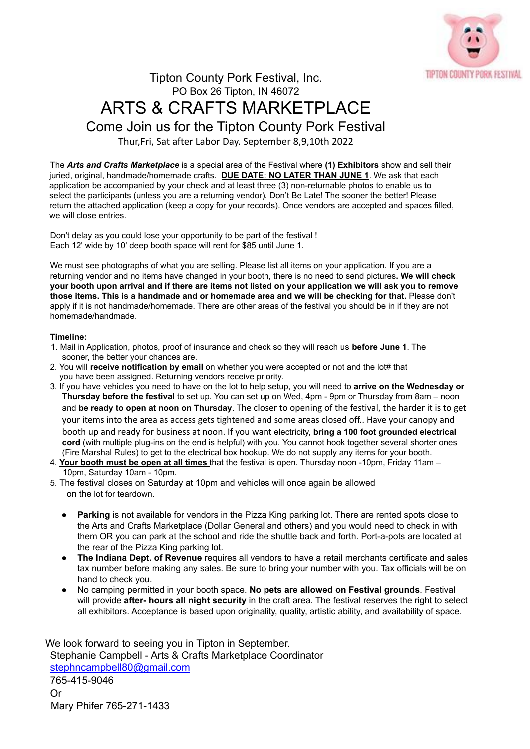

## Tipton County Pork Festival, Inc. PO Box 26 Tipton, IN 46072 ARTS & CRAFTS MARKETPLACE Come Join us for the Tipton County Pork Festival

Thur,Fri, Sat after Labor Day. September 8,9,10th 2022

The *Arts and Crafts Marketplace* is a special area of the Festival where **(1) Exhibitors** show and sell their juried, original, handmade/homemade crafts. **DUE DATE: NO LATER THAN JUNE 1**. We ask that each application be accompanied by your check and at least three (3) non-returnable photos to enable us to select the participants (unless you are a returning vendor). Don't Be Late! The sooner the better! Please return the attached application (keep a copy for your records). Once vendors are accepted and spaces filled, we will close entries.

Don't delay as you could lose your opportunity to be part of the festival ! Each 12' wide by 10' deep booth space will rent for \$85 until June 1.

We must see photographs of what you are selling. Please list all items on your application. If you are a returning vendor and no items have changed in your booth, there is no need to send pictures**. We will check** your booth upon arrival and if there are items not listed on your application we will ask you to remove **those items. This is a handmade and or homemade area and we will be checking for that.** Please don't apply if it is not handmade/homemade. There are other areas of the festival you should be in if they are not homemade/handmade.

## **Timeline:**

- 1. Mail in Application, photos, proof of insurance and check so they will reach us **before June 1**. The sooner, the better your chances are.
- 2. You will **receive notification by email** on whether you were accepted or not and the lot# that you have been assigned. Returning vendors receive priority.
- 3. If you have vehicles you need to have on the lot to help setup, you will need to **arrive on the Wednesday or Thursday before the festival** to set up. You can set up on Wed, 4pm - 9pm or Thursday from 8am – noon and **be ready to open at noon on Thursday**. The closer to opening of the festival, the harder it is to get your items into the area as access gets tightened and some areas closed off.. Have your canopy and booth up and ready for business at noon. If you want electricity, **bring a 100 foot grounded electrical cord** (with multiple plug-ins on the end is helpful) with you. You cannot hook together several shorter ones (Fire Marshal Rules) to get to the electrical box hookup. We do not supply any items for your booth.
- 4. **Your booth must be open at all times** that the festival is open. Thursday noon -10pm, Friday 11am 10pm, Saturday 10am - 10pm.
- 5. The festival closes on Saturday at 10pm and vehicles will once again be allowed on the lot for teardown.
	- **Parking** is not available for vendors in the Pizza King parking lot. There are rented spots close to the Arts and Crafts Marketplace (Dollar General and others) and you would need to check in with them OR you can park at the school and ride the shuttle back and forth. Port-a-pots are located at the rear of the Pizza King parking lot.
	- **The Indiana Dept. of Revenue** requires all vendors to have a retail merchants certificate and sales tax number before making any sales. Be sure to bring your number with you. Tax officials will be on hand to check you.
	- No camping permitted in your booth space. **No pets are allowed on Festival grounds**. Festival will provide **after- hours all night security** in the craft area. The festival reserves the right to select all exhibitors. Acceptance is based upon originality, quality, artistic ability, and availability of space.

We look forward to seeing you in Tipton in September. Stephanie Campbell - Arts & Crafts Marketplace Coordinator stephncampbell80@gmail.com 765-415-9046 Or

Mary Phifer 765-271-1433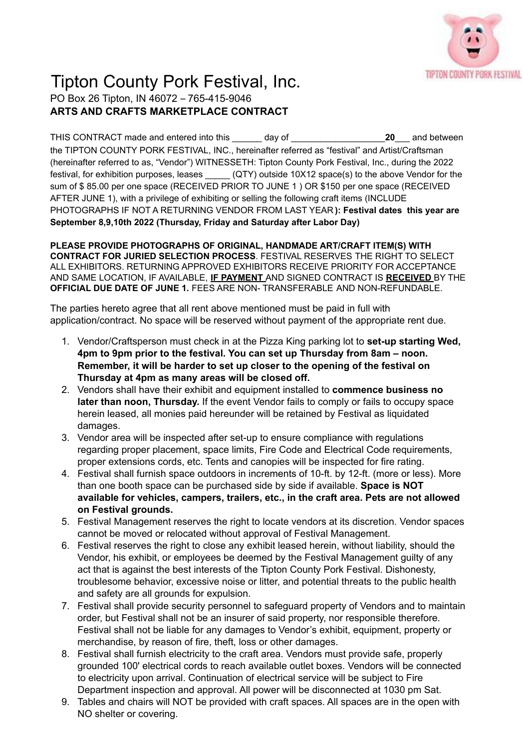

## Tipton County Pork Festival, Inc. PO Box 26 Tipton, IN 46072 – 765-415-9046 **ARTS AND CRAFTS MARKETPLACE CONTRACT**

THIS CONTRACT made and entered into this day of **20** and between the TIPTON COUNTY PORK FESTIVAL, INC., hereinafter referred as "festival" and Artist/Craftsman (hereinafter referred to as, "Vendor") WITNESSETH: Tipton County Pork Festival, Inc., during the 2022 festival, for exhibition purposes, leases \_\_\_\_\_ (QTY) outside 10X12 space(s) to the above Vendor for the sum of \$ 85.00 per one space (RECEIVED PRIOR TO JUNE 1 ) OR \$150 per one space (RECEIVED AFTER JUNE 1), with a privilege of exhibiting or selling the following craft items (INCLUDE PHOTOGRAPHS IF NOT A RETURNING VENDOR FROM LAST YEAR **): Festival dates this year are September 8,9,10th 2022 (Thursday, Friday and Saturday after Labor Day)**

**PLEASE PROVIDE PHOTOGRAPHS OF ORIGINAL, HANDMADE ART/CRAFT ITEM(S) WITH CONTRACT FOR JURIED SELECTION PROCESS**. FESTIVAL RESERVES THE RIGHT TO SELECT ALL EXHIBITORS. RETURNING APPROVED EXHIBITORS RECEIVE PRIORITY FOR ACCEPTANCE AND SAME LOCATION, IF AVAILABLE, **IF PAYMENT** AND SIGNED CONTRACT IS **RECEIVED** BY THE **OFFICIAL DUE DATE OF JUNE 1.** FEES ARE NON- TRANSFERABLE AND NON-REFUNDABLE.

The parties hereto agree that all rent above mentioned must be paid in full with application/contract. No space will be reserved without payment of the appropriate rent due.

- 1. Vendor/Craftsperson must check in at the Pizza King parking lot to **set-up starting Wed, 4pm to 9pm prior to the festival. You can set up Thursday from 8am – noon. Remember, it will be harder to set up closer to the opening of the festival on Thursday at 4pm as many areas will be closed off.**
- 2. Vendors shall have their exhibit and equipment installed to **commence business no later than noon, Thursday.** If the event Vendor fails to comply or fails to occupy space herein leased, all monies paid hereunder will be retained by Festival as liquidated damages.
- 3. Vendor area will be inspected after set-up to ensure compliance with regulations regarding proper placement, space limits, Fire Code and Electrical Code requirements, proper extensions cords, etc. Tents and canopies will be inspected for fire rating.
- 4. Festival shall furnish space outdoors in increments of 10-ft. by 12-ft. (more or less). More than one booth space can be purchased side by side if available. **Space is NOT available for vehicles, campers, trailers, etc., in the craft area. Pets are not allowed on Festival grounds.**
- 5. Festival Management reserves the right to locate vendors at its discretion. Vendor spaces cannot be moved or relocated without approval of Festival Management.
- 6. Festival reserves the right to close any exhibit leased herein, without liability, should the Vendor, his exhibit, or employees be deemed by the Festival Management guilty of any act that is against the best interests of the Tipton County Pork Festival. Dishonesty, troublesome behavior, excessive noise or litter, and potential threats to the public health and safety are all grounds for expulsion.
- 7. Festival shall provide security personnel to safeguard property of Vendors and to maintain order, but Festival shall not be an insurer of said property, nor responsible therefore. Festival shall not be liable for any damages to Vendor's exhibit, equipment, property or merchandise, by reason of fire, theft, loss or other damages.
- 8. Festival shall furnish electricity to the craft area. Vendors must provide safe, properly grounded 100' electrical cords to reach available outlet boxes. Vendors will be connected to electricity upon arrival. Continuation of electrical service will be subject to Fire Department inspection and approval. All power will be disconnected at 1030 pm Sat.
- 9. Tables and chairs will NOT be provided with craft spaces. All spaces are in the open with NO shelter or covering.